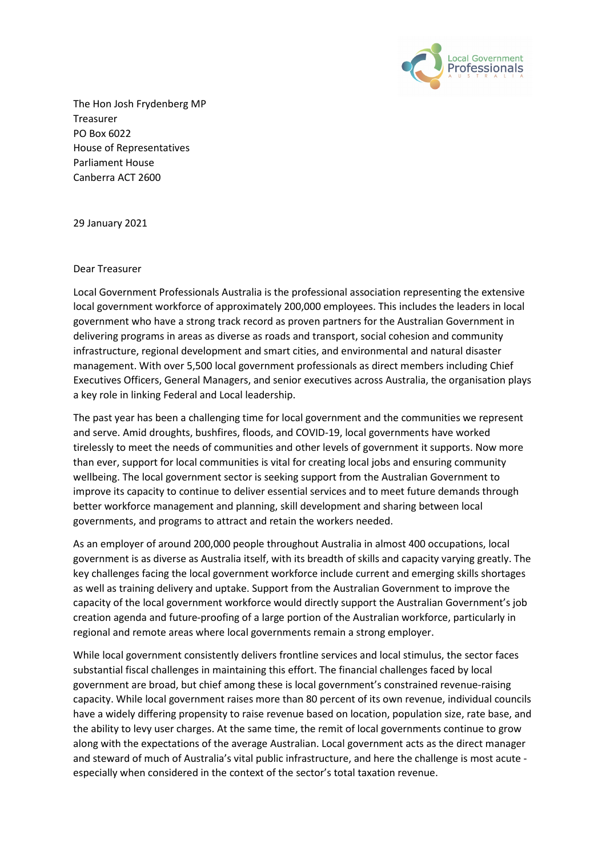

The Hon Josh Frydenberg MP Treasurer PO Box 6022 House of Representatives Parliament House Canberra ACT 2600

29 January 2021

#### Dear Treasurer

Local Government Professionals Australia is the professional association representing the extensive local government workforce of approximately 200,000 employees. This includes the leaders in local government who have a strong track record as proven partners for the Australian Government in delivering programs in areas as diverse as roads and transport, social cohesion and community infrastructure, regional development and smart cities, and environmental and natural disaster management. With over 5,500 local government professionals as direct members including Chief Executives Officers, General Managers, and senior executives across Australia, the organisation plays a key role in linking Federal and Local leadership.

The past year has been a challenging time for local government and the communities we represent and serve. Amid droughts, bushfires, floods, and COVID-19, local governments have worked tirelessly to meet the needs of communities and other levels of government it supports. Now more than ever, support for local communities is vital for creating local jobs and ensuring community wellbeing. The local government sector is seeking support from the Australian Government to improve its capacity to continue to deliver essential services and to meet future demands through better workforce management and planning, skill development and sharing between local governments, and programs to attract and retain the workers needed.

As an employer of around 200,000 people throughout Australia in almost 400 occupations, local government is as diverse as Australia itself, with its breadth of skills and capacity varying greatly. The key challenges facing the local government workforce include current and emerging skills shortages as well as training delivery and uptake. Support from the Australian Government to improve the capacity of the local government workforce would directly support the Australian Government's job creation agenda and future-proofing of a large portion of the Australian workforce, particularly in regional and remote areas where local governments remain a strong employer.

While local government consistently delivers frontline services and local stimulus, the sector faces substantial fiscal challenges in maintaining this effort. The financial challenges faced by local government are broad, but chief among these is local government's constrained revenue-raising capacity. While local government raises more than 80 percent of its own revenue, individual councils have a widely differing propensity to raise revenue based on location, population size, rate base, and the ability to levy user charges. At the same time, the remit of local governments continue to grow along with the expectations of the average Australian. Local government acts as the direct manager and steward of much of Australia's vital public infrastructure, and here the challenge is most acute especially when considered in the context of the sector's total taxation revenue.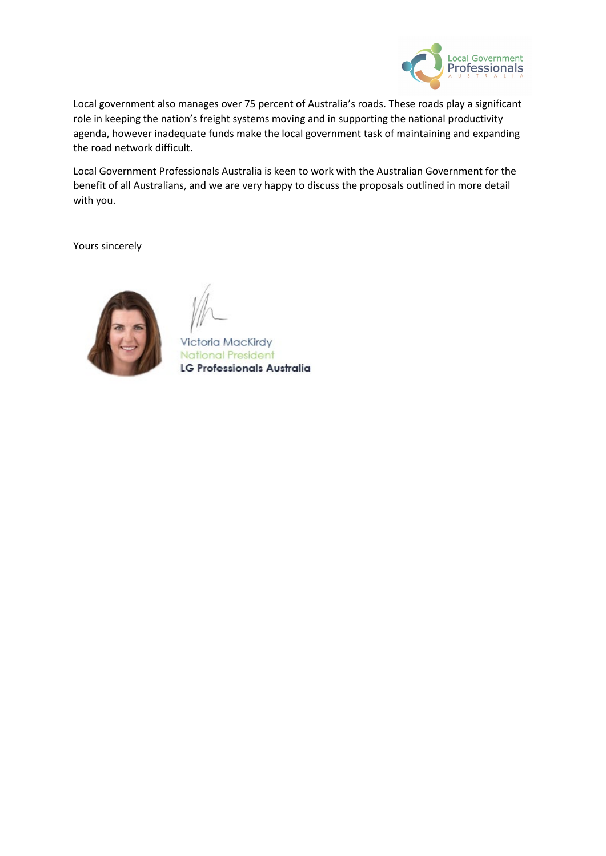

Local government also manages over 75 percent of Australia's roads. These roads play a significant role in keeping the nation's freight systems moving and in supporting the national productivity agenda, however inadequate funds make the local government task of maintaining and expanding the road network difficult.

Local Government Professionals Australia is keen to work with the Australian Government for the benefit of all Australians, and we are very happy to discuss the proposals outlined in more detail with you.

Yours sincerely



Victoria MacKirdy **National President** LG Professionals Australia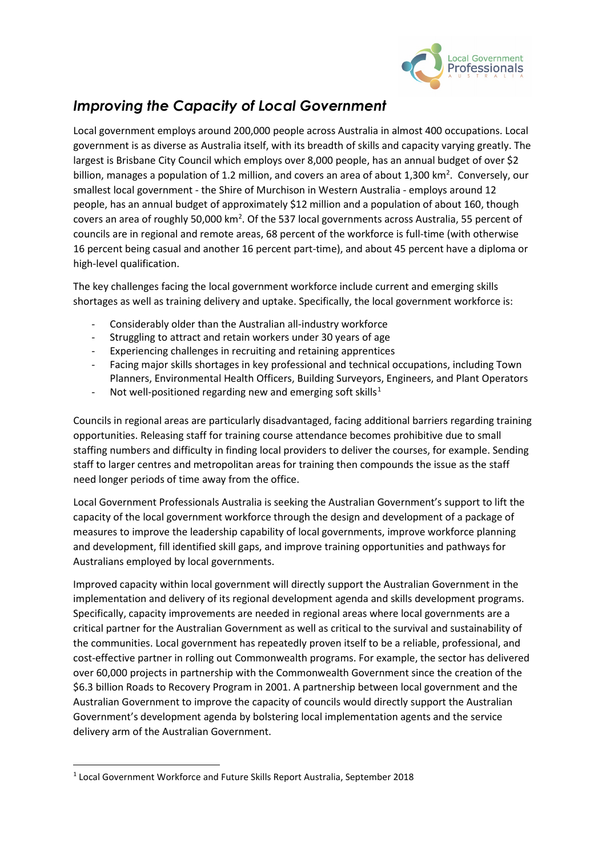

# *Improving the Capacity of Local Government*

Local government employs around 200,000 people across Australia in almost 400 occupations. Local government is as diverse as Australia itself, with its breadth of skills and capacity varying greatly. The largest is Brisbane City Council which employs over 8,000 people, has an annual budget of over \$2 billion, manages a population of 1.2 million, and covers an area of about 1,300  $km^2$ . Conversely, our smallest local government - the Shire of Murchison in Western Australia - employs around 12 people, has an annual budget of approximately \$12 million and a population of about 160, though covers an area of roughly 50,000 km<sup>2</sup>. Of the 537 local governments across Australia, 55 percent of councils are in regional and remote areas, 68 percent of the workforce is full-time (with otherwise 16 percent being casual and another 16 percent part-time), and about 45 percent have a diploma or high-level qualification.

The key challenges facing the local government workforce include current and emerging skills shortages as well as training delivery and uptake. Specifically, the local government workforce is:

- Considerably older than the Australian all-industry workforce
- Struggling to attract and retain workers under 30 years of age
- Experiencing challenges in recruiting and retaining apprentices
- Facing major skills shortages in key professional and technical occupations, including Town Planners, Environmental Health Officers, Building Surveyors, Engineers, and Plant Operators
- Not well-positioned regarding new and emerging soft skills<sup>[1](#page-2-0)</sup>

Councils in regional areas are particularly disadvantaged, facing additional barriers regarding training opportunities. Releasing staff for training course attendance becomes prohibitive due to small staffing numbers and difficulty in finding local providers to deliver the courses, for example. Sending staff to larger centres and metropolitan areas for training then compounds the issue as the staff need longer periods of time away from the office.

Local Government Professionals Australia is seeking the Australian Government's support to lift the capacity of the local government workforce through the design and development of a package of measures to improve the leadership capability of local governments, improve workforce planning and development, fill identified skill gaps, and improve training opportunities and pathways for Australians employed by local governments.

Improved capacity within local government will directly support the Australian Government in the implementation and delivery of its regional development agenda and skills development programs. Specifically, capacity improvements are needed in regional areas where local governments are a critical partner for the Australian Government as well as critical to the survival and sustainability of the communities. Local government has repeatedly proven itself to be a reliable, professional, and cost-effective partner in rolling out Commonwealth programs. For example, the sector has delivered over 60,000 projects in partnership with the Commonwealth Government since the creation of the \$6.3 billion Roads to Recovery Program in 2001. A partnership between local government and the Australian Government to improve the capacity of councils would directly support the Australian Government's development agenda by bolstering local implementation agents and the service delivery arm of the Australian Government.

<span id="page-2-0"></span><sup>1</sup> Local Government Workforce and Future Skills Report Australia, September 2018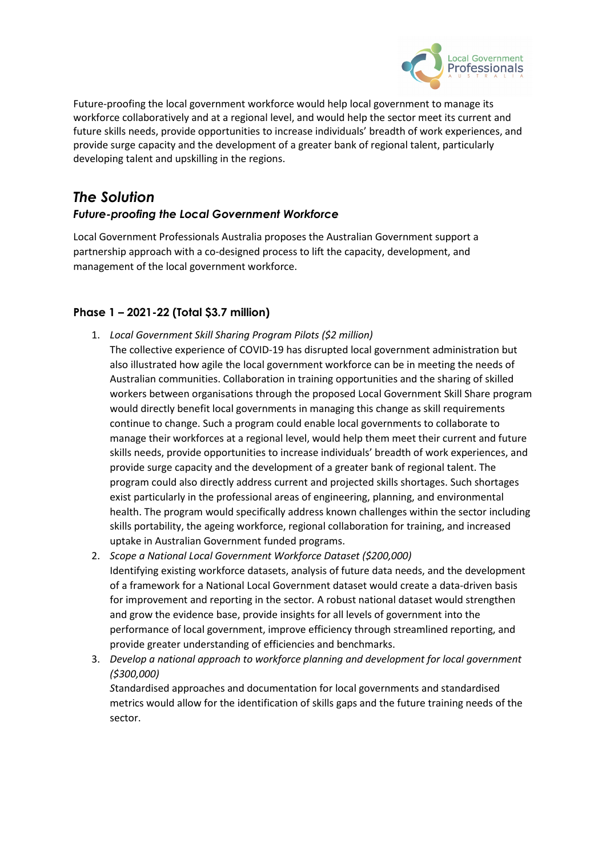

Future-proofing the local government workforce would help local government to manage its workforce collaboratively and at a regional level, and would help the sector meet its current and future skills needs, provide opportunities to increase individuals' breadth of work experiences, and provide surge capacity and the development of a greater bank of regional talent, particularly developing talent and upskilling in the regions.

## *The Solution Future-proofing the Local Government Workforce*

Local Government Professionals Australia proposes the Australian Government support a partnership approach with a co-designed process to lift the capacity, development, and

### **Phase 1 – 2021-22 (Total \$3.7 million)**

management of the local government workforce.

- 1. *Local Government Skill Sharing Program Pilots (\$2 million)*
- The collective experience of COVID-19 has disrupted local government administration but also illustrated how agile the local government workforce can be in meeting the needs of Australian communities. Collaboration in training opportunities and the sharing of skilled workers between organisations through the proposed Local Government Skill Share program would directly benefit local governments in managing this change as skill requirements continue to change. Such a program could enable local governments to collaborate to manage their workforces at a regional level, would help them meet their current and future skills needs, provide opportunities to increase individuals' breadth of work experiences, and provide surge capacity and the development of a greater bank of regional talent. The program could also directly address current and projected skills shortages. Such shortages exist particularly in the professional areas of engineering, planning, and environmental health. The program would specifically address known challenges within the sector including skills portability, the ageing workforce, regional collaboration for training, and increased uptake in Australian Government funded programs.
- 2. *Scope a National Local Government Workforce Dataset (\$200,000)* Identifying existing workforce datasets, analysis of future data needs, and the development of a framework for a National Local Government dataset would create a data-driven basis for improvement and reporting in the sector*.* A robust national dataset would strengthen and grow the evidence base, provide insights for all levels of government into the performance of local government, improve efficiency through streamlined reporting, and provide greater understanding of efficiencies and benchmarks.
- 3. *Develop a national approach to workforce planning and development for local government (\$300,000)*

*S*tandardised approaches and documentation for local governments and standardised metrics would allow for the identification of skills gaps and the future training needs of the sector.